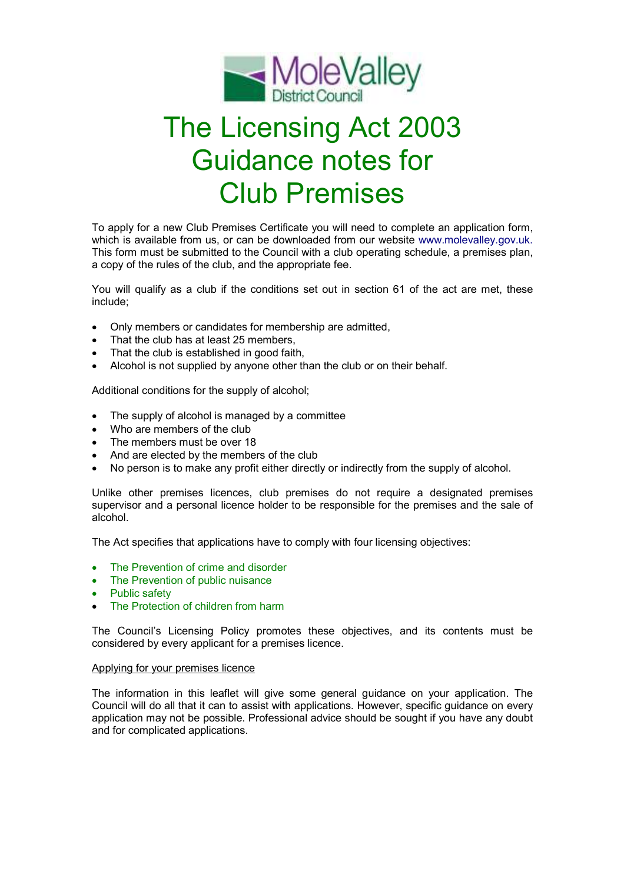

# The Licensing Act 2003 Guidance notes for Club Premises

To apply for a new Club Premises Certificate you will need to complete an application form, which is available from us, or can be downloaded from our website www.molevalley.gov.uk. This form must be submitted to the Council with a club operating schedule, a premises plan, a copy of the rules of the club, and the appropriate fee.

You will qualify as a club if the conditions set out in section 61 of the act are met, these include;

- Only members or candidates for membership are admitted,
- That the club has at least 25 members,
- That the club is established in good faith,
- Alcohol is not supplied by anyone other than the club or on their behalf.

Additional conditions for the supply of alcohol;

- The supply of alcohol is managed by a committee
- Who are members of the club
- The members must be over 18
- And are elected by the members of the club
- No person is to make any profit either directly or indirectly from the supply of alcohol.

Unlike other premises licences, club premises do not require a designated premises supervisor and a personal licence holder to be responsible for the premises and the sale of alcohol.

The Act specifies that applications have to comply with four licensing objectives:

- The Prevention of crime and disorder
- The Prevention of public nuisance
- Public safety
- The Protection of children from harm

The Council's Licensing Policy promotes these objectives, and its contents must be considered by every applicant for a premises licence.

## Applying for your premises licence

The information in this leaflet will give some general guidance on your application. The Council will do all that it can to assist with applications. However, specific guidance on every application may not be possible. Professional advice should be sought if you have any doubt and for complicated applications.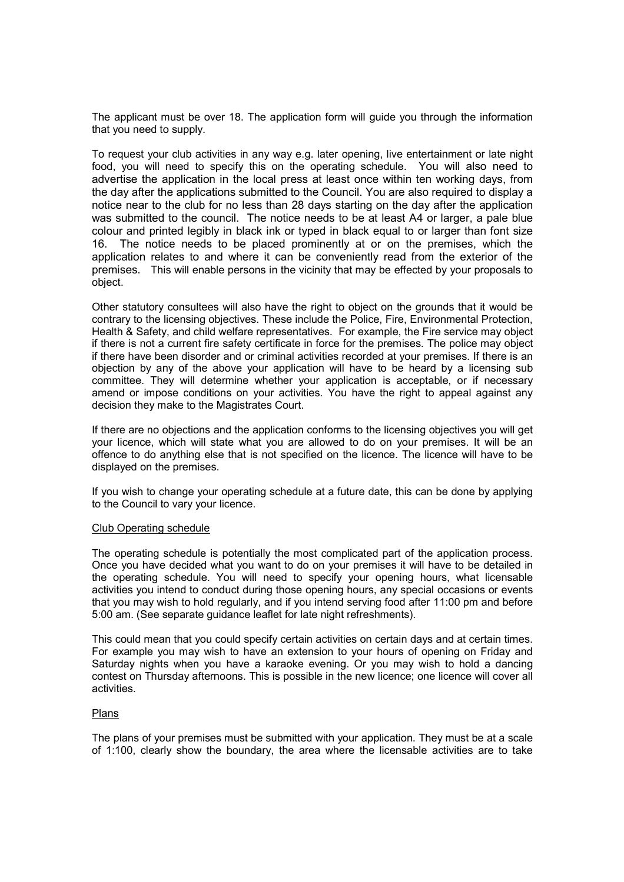The applicant must be over 18. The application form will guide you through the information that you need to supply.

To request your club activities in any way e.g. later opening, live entertainment or late night food, you will need to specify this on the operating schedule. You will also need to advertise the application in the local press at least once within ten working days, from the day after the applications submitted to the Council. You are also required to display a notice near to the club for no less than 28 days starting on the day after the application was submitted to the council. The notice needs to be at least A4 or larger, a pale blue colour and printed legibly in black ink or typed in black equal to or larger than font size 16. The notice needs to be placed prominently at or on the premises, which the application relates to and where it can be conveniently read from the exterior of the premises. This will enable persons in the vicinity that may be effected by your proposals to object.

Other statutory consultees will also have the right to object on the grounds that it would be contrary to the licensing objectives. These include the Police, Fire, Environmental Protection, Health & Safety, and child welfare representatives. For example, the Fire service may object if there is not a current fire safety certificate in force for the premises. The police may object if there have been disorder and or criminal activities recorded at your premises. If there is an objection by any of the above your application will have to be heard by a licensing sub committee. They will determine whether your application is acceptable, or if necessary amend or impose conditions on your activities. You have the right to appeal against any decision they make to the Magistrates Court.

If there are no objections and the application conforms to the licensing objectives you will get your licence, which will state what you are allowed to do on your premises. It will be an offence to do anything else that is not specified on the licence. The licence will have to be displayed on the premises.

If you wish to change your operating schedule at a future date, this can be done by applying to the Council to vary your licence.

## Club Operating schedule

The operating schedule is potentially the most complicated part of the application process. Once you have decided what you want to do on your premises it will have to be detailed in the operating schedule. You will need to specify your opening hours, what licensable activities you intend to conduct during those opening hours, any special occasions or events that you may wish to hold regularly, and if you intend serving food after 11:00 pm and before 5:00 am. (See separate guidance leaflet for late night refreshments).

This could mean that you could specify certain activities on certain days and at certain times. For example you may wish to have an extension to your hours of opening on Friday and Saturday nights when you have a karaoke evening. Or you may wish to hold a dancing contest on Thursday afternoons. This is possible in the new licence; one licence will cover all activities.

## Plans

The plans of your premises must be submitted with your application. They must be at a scale of 1:100, clearly show the boundary, the area where the licensable activities are to take